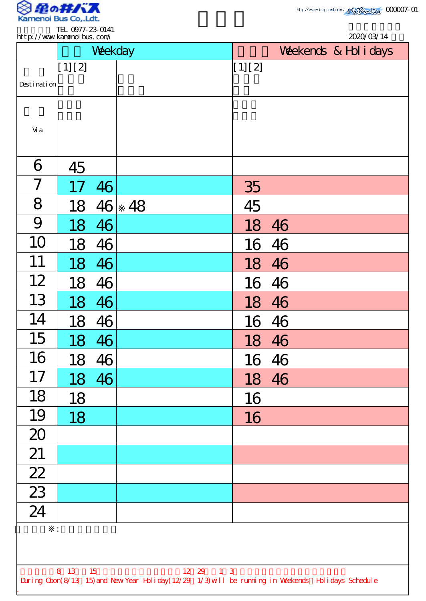

.

| Weekday             | Weekends & Hol i days |
|---------------------|-----------------------|
|                     |                       |
| [1] [2]             | [1] [2]               |
| Desti nati on       |                       |
|                     |                       |
| Vi a                |                       |
| 6<br>45             |                       |
| 7<br>46<br>17       | 35                    |
| 8<br>48<br>18<br>46 | 45                    |
| 9<br>46<br>18       | 18<br>46              |
| 10<br>18<br>46      | 16 46                 |
| 11<br>18<br>46      | 46<br>18              |
| 12<br>46<br>18      | 46<br>16              |
| 13<br>18<br>46      | 18 46                 |
| 14<br>46<br>18      | 16 46                 |
| 15<br>46<br>18      | 18 46                 |
| 16<br>18<br>46      | 16 46                 |
| 17<br>18<br>46      | 18 46                 |
| 18<br>18            | 16                    |
| 19<br>18            | 16                    |
| 20                  |                       |
| 21                  |                       |
| $\overline{22}$     |                       |
| $\overline{23}$     |                       |
| 24                  |                       |
| ÷.                  |                       |
|                     |                       |
|                     |                       |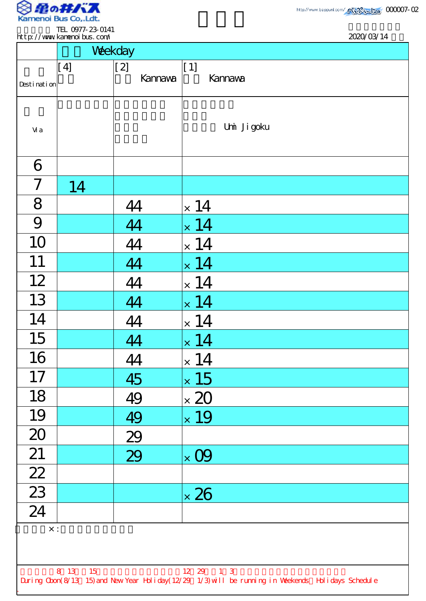

.

http://www.beppuni.com/ 233332120 000007-02

2020/03/14

| TEL 0977-23-0141            |            |
|-----------------------------|------------|
| http://www.kamenoi.bus.com/ | 2020/03/14 |
|                             |            |

|                                                                                                    | Weekday    |         |                          |  |  |  |  |
|----------------------------------------------------------------------------------------------------|------------|---------|--------------------------|--|--|--|--|
|                                                                                                    | [4]        | $[2]$   | $[1]$                    |  |  |  |  |
| Desti nati on                                                                                      |            | Kannava | <b>Kannava</b>           |  |  |  |  |
|                                                                                                    |            |         |                          |  |  |  |  |
|                                                                                                    |            |         | Umi Ji goku              |  |  |  |  |
| Vi a                                                                                               |            |         |                          |  |  |  |  |
|                                                                                                    |            |         |                          |  |  |  |  |
| 6                                                                                                  |            |         |                          |  |  |  |  |
| $\overline{ }$                                                                                     | 14         |         |                          |  |  |  |  |
| 8                                                                                                  |            | 44      | $\times$ 14              |  |  |  |  |
| 9                                                                                                  |            | 44      | $\times$ 14              |  |  |  |  |
| 10                                                                                                 |            | 44      | $\times$ 14              |  |  |  |  |
| 11                                                                                                 |            | 44      | $\times$ 14              |  |  |  |  |
| 12                                                                                                 |            | 44      | $\times$ 14              |  |  |  |  |
| 13                                                                                                 |            | 44      | 14<br>$\bar{\mathsf{x}}$ |  |  |  |  |
| 14                                                                                                 |            | 44      | $\times$ 14              |  |  |  |  |
| 15                                                                                                 |            | 44      | $\times$ 14              |  |  |  |  |
| 16                                                                                                 |            | 44      | $\times$ 14              |  |  |  |  |
| 17                                                                                                 |            | 45      | $\times$ 15              |  |  |  |  |
| 18                                                                                                 |            | 49      | $\times$ 20              |  |  |  |  |
| 19                                                                                                 |            | 49      | $\times$ 19              |  |  |  |  |
| 20                                                                                                 |            | 29      |                          |  |  |  |  |
| 21                                                                                                 |            | 29      | $\times$ 09              |  |  |  |  |
| $\frac{22}{23}$                                                                                    |            |         |                          |  |  |  |  |
|                                                                                                    |            |         | $\times$ 26              |  |  |  |  |
| $\overline{24}$                                                                                    |            |         |                          |  |  |  |  |
|                                                                                                    | $\times$ : |         |                          |  |  |  |  |
|                                                                                                    |            |         |                          |  |  |  |  |
| 12 29 1 3<br>8 13<br>15                                                                            |            |         |                          |  |  |  |  |
| During Cbon(8/13 15) and New Year Holiday(12/29 1/3) will be running in Weekends Holidays Schedule |            |         |                          |  |  |  |  |